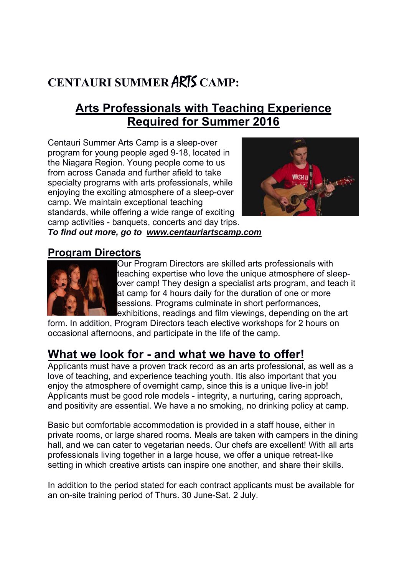# **CENTAURI SUMMER** ARTS **CAMP:**

### **Arts Professionals with Teaching Experience Required for Summer 2016**

Centauri Summer Arts Camp is a sleep-over program for young people aged 9-18, located in the Niagara Region. Young people come to us from across Canada and further afield to take specialty programs with arts professionals, while enjoying the exciting atmosphere of a sleep-over camp. We maintain exceptional teaching standards, while offering a wide range of exciting camp activities - banquets, concerts and day trips.



*To find out more, go to www.centauriartscamp.com* 

#### **Program Directors**



Our Program Directors are skilled arts professionals with teaching expertise who love the unique atmosphere of sleepover camp! They design a specialist arts program, and teach it at camp for 4 hours daily for the duration of one or more sessions. Programs culminate in short performances, exhibitions, readings and film viewings, depending on the art

form. In addition, Program Directors teach elective workshops for 2 hours on occasional afternoons, and participate in the life of the camp.

### **What we look for - and what we have to offer!**

Applicants must have a proven track record as an arts professional, as well as a love of teaching, and experience teaching youth. Itis also important that you enjoy the atmosphere of overnight camp, since this is a unique live-in job! Applicants must be good role models - integrity, a nurturing, caring approach, and positivity are essential. We have a no smoking, no drinking policy at camp.

Basic but comfortable accommodation is provided in a staff house, either in private rooms, or large shared rooms. Meals are taken with campers in the dining hall, and we can cater to vegetarian needs. Our chefs are excellent! With all arts professionals living together in a large house, we offer a unique retreat-like setting in which creative artists can inspire one another, and share their skills.

In addition to the period stated for each contract applicants must be available for an on-site training period of Thurs. 30 June-Sat. 2 July.